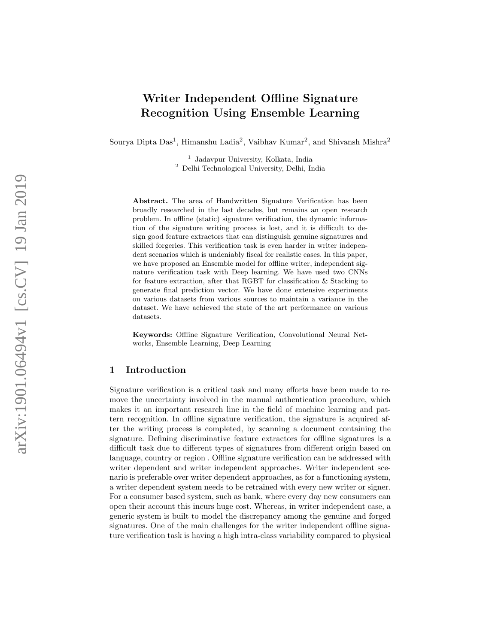# Writer Independent Offline Signature Recognition Using Ensemble Learning

Sourya Dipta Das<sup>1</sup>, Himanshu Ladia<sup>2</sup>, Vaibhav Kumar<sup>2</sup>, and Shivansh Mishra<sup>2</sup>

1 Jadavpur University, Kolkata, India <sup>2</sup> Delhi Technological University, Delhi, India

Abstract. The area of Handwritten Signature Verification has been broadly researched in the last decades, but remains an open research problem. In offline (static) signature verification, the dynamic information of the signature writing process is lost, and it is difficult to design good feature extractors that can distinguish genuine signatures and skilled forgeries. This verification task is even harder in writer independent scenarios which is undeniably fiscal for realistic cases. In this paper, we have proposed an Ensemble model for offline writer, independent signature verification task with Deep learning. We have used two CNNs for feature extraction, after that RGBT for classification & Stacking to generate final prediction vector. We have done extensive experiments on various datasets from various sources to maintain a variance in the dataset. We have achieved the state of the art performance on various datasets.

Keywords: Offline Signature Verification, Convolutional Neural Networks, Ensemble Learning, Deep Learning

# 1 Introduction

Signature verification is a critical task and many efforts have been made to remove the uncertainty involved in the manual authentication procedure, which makes it an important research line in the field of machine learning and pattern recognition. In offline signature verification, the signature is acquired after the writing process is completed, by scanning a document containing the signature. Defining discriminative feature extractors for offline signatures is a difficult task due to different types of signatures from different origin based on language, country or region . Offline signature verification can be addressed with writer dependent and writer independent approaches. Writer independent scenario is preferable over writer dependent approaches, as for a functioning system, a writer dependent system needs to be retrained with every new writer or signer. For a consumer based system, such as bank, where every day new consumers can open their account this incurs huge cost. Whereas, in writer independent case, a generic system is built to model the discrepancy among the genuine and forged signatures. One of the main challenges for the writer independent offline signature verification task is having a high intra-class variability compared to physical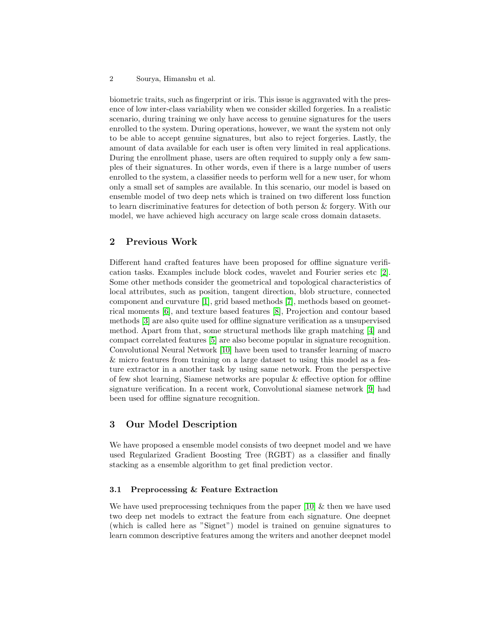#### 2 Sourya, Himanshu et al.

biometric traits, such as fingerprint or iris. This issue is aggravated with the presence of low inter-class variability when we consider skilled forgeries. In a realistic scenario, during training we only have access to genuine signatures for the users enrolled to the system. During operations, however, we want the system not only to be able to accept genuine signatures, but also to reject forgeries. Lastly, the amount of data available for each user is often very limited in real applications. During the enrollment phase, users are often required to supply only a few samples of their signatures. In other words, even if there is a large number of users enrolled to the system, a classifier needs to perform well for a new user, for whom only a small set of samples are available. In this scenario, our model is based on ensemble model of two deep nets which is trained on two different loss function to learn discriminative features for detection of both person & forgery. With our model, we have achieved high accuracy on large scale cross domain datasets.

## 2 Previous Work

Different hand crafted features have been proposed for offline signature verification tasks. Examples include block codes, wavelet and Fourier series etc [\[2\]](#page-5-0). Some other methods consider the geometrical and topological characteristics of local attributes, such as position, tangent direction, blob structure, connected component and curvature [\[1\]](#page-5-1), grid based methods [\[7\]](#page-5-2), methods based on geometrical moments [\[6\]](#page-5-3), and texture based features [\[8\]](#page-5-4), Projection and contour based methods [\[3\]](#page-5-5) are also quite used for offline signature verification as a unsupervised method. Apart from that, some structural methods like graph matching [\[4\]](#page-5-6) and compact correlated features [\[5\]](#page-5-7) are also become popular in signature recognition. Convolutional Neural Network [\[10\]](#page-5-8) have been used to transfer learning of macro & micro features from training on a large dataset to using this model as a feature extractor in a another task by using same network. From the perspective of few shot learning, Siamese networks are popular  $\&$  effective option for offline signature verification. In a recent work, Convolutional siamese network [\[9\]](#page-5-9) had been used for offline signature recognition.

## 3 Our Model Description

We have proposed a ensemble model consists of two deepnet model and we have used Regularized Gradient Boosting Tree (RGBT) as a classifier and finally stacking as a ensemble algorithm to get final prediction vector.

## 3.1 Preprocessing & Feature Extraction

We have used preprocessing techniques from the paper  $[10]$  & then we have used two deep net models to extract the feature from each signature. One deepnet (which is called here as "Signet") model is trained on genuine signatures to learn common descriptive features among the writers and another deepnet model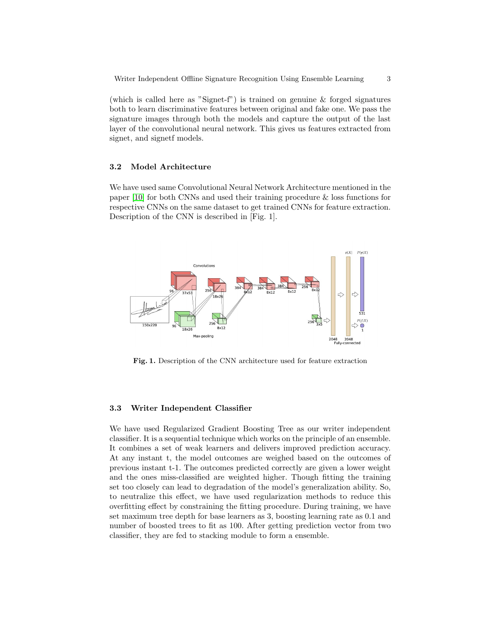(which is called here as "Signet-f") is trained on genuine & forged signatures both to learn discriminative features between original and fake one. We pass the signature images through both the models and capture the output of the last layer of the convolutional neural network. This gives us features extracted from signet, and signetf models.

## 3.2 Model Architecture

We have used same Convolutional Neural Network Architecture mentioned in the paper [\[10\]](#page-5-8) for both CNNs and used their training procedure & loss functions for respective CNNs on the same dataset to get trained CNNs for feature extraction. Description of the CNN is described in [Fig. 1].



Fig. 1. Description of the CNN architecture used for feature extraction

#### 3.3 Writer Independent Classifier

We have used Regularized Gradient Boosting Tree as our writer independent classifier. It is a sequential technique which works on the principle of an ensemble. It combines a set of weak learners and delivers improved prediction accuracy. At any instant t, the model outcomes are weighed based on the outcomes of previous instant t-1. The outcomes predicted correctly are given a lower weight and the ones miss-classified are weighted higher. Though fitting the training set too closely can lead to degradation of the model's generalization ability. So, to neutralize this effect, we have used regularization methods to reduce this overfitting effect by constraining the fitting procedure. During training, we have set maximum tree depth for base learners as 3, boosting learning rate as 0.1 and number of boosted trees to fit as 100. After getting prediction vector from two classifier, they are fed to stacking module to form a ensemble.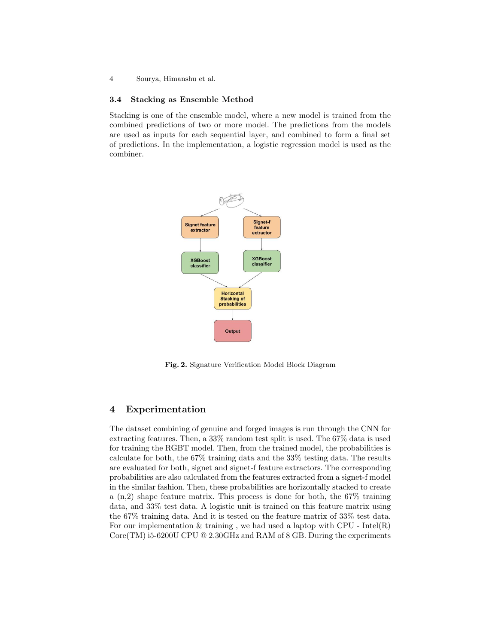4 Sourya, Himanshu et al.

#### 3.4 Stacking as Ensemble Method

Stacking is one of the ensemble model, where a new model is trained from the combined predictions of two or more model. The predictions from the models are used as inputs for each sequential layer, and combined to form a final set of predictions. In the implementation, a logistic regression model is used as the combiner.



Fig. 2. Signature Verification Model Block Diagram

## 4 Experimentation

The dataset combining of genuine and forged images is run through the CNN for extracting features. Then, a 33% random test split is used. The 67% data is used for training the RGBT model. Then, from the trained model, the probabilities is calculate for both, the 67% training data and the 33% testing data. The results are evaluated for both, signet and signet-f feature extractors. The corresponding probabilities are also calculated from the features extracted from a signet-f model in the similar fashion. Then, these probabilities are horizontally stacked to create a  $(n,2)$  shape feature matrix. This process is done for both, the 67% training data, and 33% test data. A logistic unit is trained on this feature matrix using the 67% training data. And it is tested on the feature matrix of 33% test data. For our implementation  $&$  training, we had used a laptop with CPU - Intel(R) Core(TM) i5-6200U CPU  $@$  2.30GHz and RAM of 8 GB. During the experiments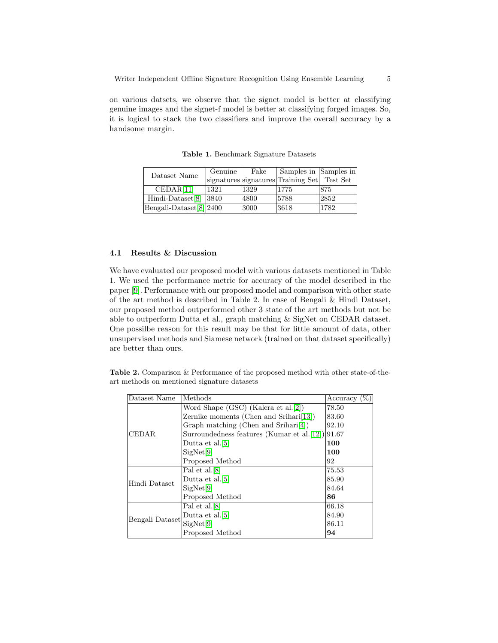on various datsets, we observe that the signet model is better at classifying genuine images and the signet-f model is better at classifying forged images. So, it is logical to stack the two classifiers and improve the overall accuracy by a handsome margin.

| Dataset Name                          | Genuine | Fake | Samples in Samples in                       |      |
|---------------------------------------|---------|------|---------------------------------------------|------|
|                                       |         |      | signatures signatures Training Set Test Set |      |
| CEDAR[11]                             | 1321    | 1329 | 1775                                        | 1875 |
| Hindi-Dataset $[8]$  3840             |         | 4800 | 5788                                        | 2852 |
| Bengali-Dataset <sup>[8]</sup> [2400] |         | 3000 | 3618                                        | 1782 |

Table 1. Benchmark Signature Datasets

#### 4.1 Results & Discussion

We have evaluated our proposed model with various datasets mentioned in Table 1. We used the performance metric for accuracy of the model described in the paper [\[9\]](#page-5-9). Performance with our proposed model and comparison with other state of the art method is described in Table 2. In case of Bengali & Hindi Dataset, our proposed method outperformed other 3 state of the art methods but not be able to outperform Dutta et al., graph matching & SigNet on CEDAR dataset. One possilbe reason for this result may be that for little amount of data, other unsupervised methods and Siamese network (trained on that dataset specifically) are better than ours.

Table 2. Comparison & Performance of the proposed method with other state-of-theart methods on mentioned signature datasets

| Dataset Name    | $\Delta$ Methods                                   | Accuracy $(\%)$ |
|-----------------|----------------------------------------------------|-----------------|
|                 | Word Shape (GSC) (Kalera et al.[2])                | 78.50           |
| <b>CEDAR</b>    | Zernike moments (Chen and Srihari[13])             | 83.60           |
|                 | Graph matching (Chen and Srihari[4])               | 92.10           |
|                 | Surroundedness features (Kumar et al. [12]) [91.67 |                 |
|                 | Dutta et al. <sup>[5]</sup>                        | 100             |
|                 | SigNet[9]                                          | 100             |
|                 | Proposed Method                                    | 92              |
| Hindi Dataset   | Pal et al. <sup>[8]</sup>                          | 75.53           |
|                 | Dutta et al. <sup>[5]</sup>                        | 85.90           |
|                 | SigNet[9]                                          | 84.64           |
|                 | Proposed Method                                    | 86              |
| Bengali Dataset | Pal et al. [8]                                     | 66.18           |
|                 | Dutta et al. <sup>[5]</sup>                        | 84.90           |
|                 | SigNet[9]                                          | 86.11           |
|                 | Proposed Method                                    | 94              |